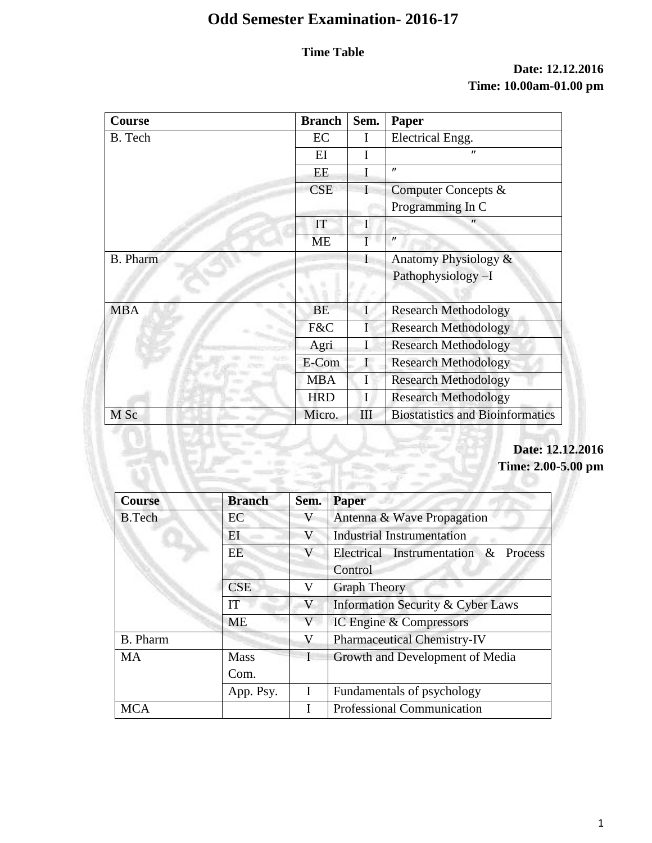# **Time Table**

## **Date: 12.12.2016 Time: 10.00am-01.00 pm**

| Course          | <b>Branch</b> | Sem.        | Paper                                   |
|-----------------|---------------|-------------|-----------------------------------------|
| B. Tech         | EC            | I           | Electrical Engg.                        |
|                 | EI            | I           | $^{\prime\prime}$                       |
|                 | EE            | I           | $^{\prime\prime}$                       |
|                 | <b>CSE</b>    | T           | Computer Concepts &                     |
|                 |               |             | Programming In C                        |
|                 | IT            | $\mathbf I$ | $^{\prime\prime}$                       |
|                 | <b>ME</b>     | I           | $^{\prime\prime}$                       |
| <b>B.</b> Pharm |               | $\mathbf I$ | Anatomy Physiology &                    |
|                 |               |             | Pathophysiology-I                       |
| <b>MBA</b>      | <b>BE</b>     | I           | <b>Research Methodology</b>             |
|                 | F&C           | I           | <b>Research Methodology</b>             |
|                 | Agri          | Ι           | <b>Research Methodology</b>             |
|                 | E-Com         |             | <b>Research Methodology</b>             |
|                 | <b>MBA</b>    | I           | <b>Research Methodology</b>             |
|                 | <b>HRD</b>    | I           | <b>Research Methodology</b>             |
| M Sc            | Micro.        | III         | <b>Biostatistics and Bioinformatics</b> |

# **Date: 12.12.2016 Time: 2.00-5.00 pm**

| <b>Course</b> | <b>Branch</b> | Sem. | <b>Paper</b>                                 |
|---------------|---------------|------|----------------------------------------------|
| <b>B.Tech</b> | EC            | V    | Antenna & Wave Propagation                   |
|               | EI            | V    | <b>Industrial Instrumentation</b>            |
|               | <b>EE</b>     | V    | Electrical Instrumentation &<br>Process      |
|               |               |      | Control                                      |
|               | <b>CSE</b>    | V    | <b>Graph Theory</b>                          |
|               | IT            | V    | <b>Information Security &amp; Cyber Laws</b> |
|               | <b>ME</b>     | V    | IC Engine & Compressors                      |
| B. Pharm      |               | V    | <b>Pharmaceutical Chemistry-IV</b>           |
| <b>MA</b>     | <b>Mass</b>   |      | Growth and Development of Media              |
|               | Com.          |      |                                              |
|               | App. Psy.     |      | Fundamentals of psychology                   |
| <b>MCA</b>    |               |      | Professional Communication                   |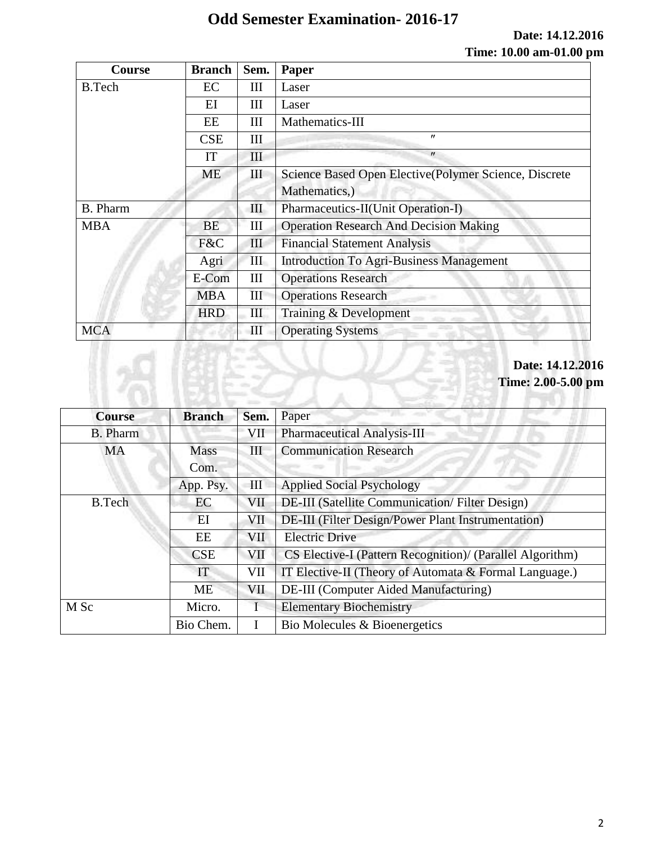**Date: 14.12.2016 Time: 10.00 am-01.00 pm**

| <b>Course</b>   | <b>Branch</b> | Sem. | Paper                                                  |
|-----------------|---------------|------|--------------------------------------------------------|
| <b>B.Tech</b>   | EC            | Ш    | Laser                                                  |
|                 | EI            | Ш    | Laser                                                  |
|                 | EE            | Ш    | Mathematics-III                                        |
|                 | <b>CSE</b>    | III  | $^{\prime\prime}$                                      |
|                 | IT            | III  | $^{\prime\prime}$                                      |
|                 | ME            | Ш    | Science Based Open Elective (Polymer Science, Discrete |
|                 |               |      | Mathematics,)                                          |
| <b>B.</b> Pharm |               | Ш    | Pharmaceutics-II(Unit Operation-I)                     |
| <b>MBA</b>      | <b>BE</b>     | Ш    | <b>Operation Research And Decision Making</b>          |
|                 | F&C           | III  | <b>Financial Statement Analysis</b>                    |
|                 | Agri          | Ш    | <b>Introduction To Agri-Business Management</b>        |
|                 | E-Com         | Ш    | <b>Operations Research</b>                             |
|                 | <b>MBA</b>    | III  | <b>Operations Research</b>                             |
|                 | <b>HRD</b>    | III  | Training & Development                                 |
| <b>MCA</b>      |               | III  | <b>Operating Systems</b>                               |

## **Date: 14.12.2016 Time: 2.00-5.00 pm**

70 H

| <b>Course</b>   | <b>Branch</b> | Sem.       | Paper                                                     |  |
|-----------------|---------------|------------|-----------------------------------------------------------|--|
| <b>B.</b> Pharm |               | VII        | <b>Pharmaceutical Analysis-III</b>                        |  |
| <b>MA</b>       | <b>Mass</b>   | Ш          | <b>Communication Research</b>                             |  |
|                 | Com.          |            |                                                           |  |
|                 | App. Psy.     | Ш          | <b>Applied Social Psychology</b>                          |  |
| <b>B.Tech</b>   | EC            | VII        | <b>DE-III</b> (Satellite Communication/Filter Design)     |  |
|                 | EI            | VII        | <b>DE-III</b> (Filter Design/Power Plant Instrumentation) |  |
|                 | EE            | <b>VII</b> | <b>Electric Drive</b>                                     |  |
|                 | <b>CSE</b>    | VII        | CS Elective-I (Pattern Recognition)/ (Parallel Algorithm) |  |
|                 | IT            | VII        | IT Elective-II (Theory of Automata & Formal Language.)    |  |
|                 | <b>ME</b>     | VII        | DE-III (Computer Aided Manufacturing)                     |  |
| M Sc            | Micro.        |            | <b>Elementary Biochemistry</b>                            |  |
|                 | Bio Chem.     |            | Bio Molecules & Bioenergetics                             |  |

 $\overrightarrow{a}$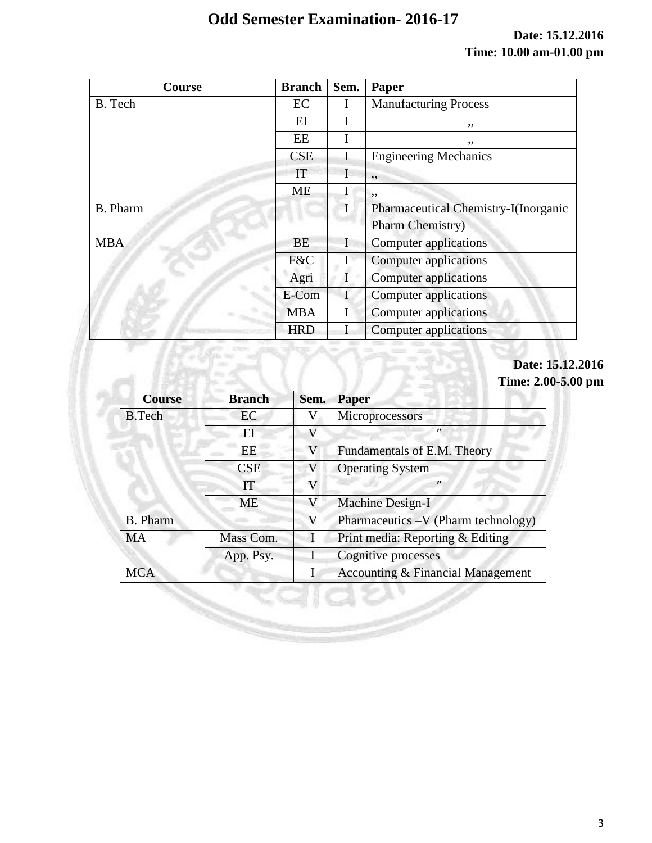**Date: 15.12.2016 Time: 10.00 am-01.00 pm**

| Course          | <b>Branch</b> | Sem. | Paper                                |
|-----------------|---------------|------|--------------------------------------|
| B. Tech         | EC            |      | <b>Manufacturing Process</b>         |
|                 | EI            |      | ,,                                   |
|                 | EE            |      | ,,                                   |
|                 | <b>CSE</b>    |      | <b>Engineering Mechanics</b>         |
|                 | IT            |      | , ,                                  |
|                 | <b>ME</b>     |      | , ,                                  |
| <b>B.</b> Pharm |               |      | Pharmaceutical Chemistry-I(Inorganic |
|                 |               |      | <b>Pharm Chemistry</b> )             |
| <b>MBA</b>      | <b>BE</b>     |      | Computer applications                |
|                 | F&C           | I    | Computer applications                |
|                 | Agri          |      | Computer applications                |
|                 | E-Com         |      | Computer applications                |
|                 | <b>MBA</b>    |      | Computer applications                |
|                 | <b>HRD</b>    |      | <b>Computer applications</b>         |

## **Date: 15.12.2016 Time: 2.00-5.00 pm**

|               |               |             | Date: 1<br><b>Time: 2.0</b>         |
|---------------|---------------|-------------|-------------------------------------|
| <b>Course</b> | <b>Branch</b> | Sem.        | Paper                               |
| <b>B.Tech</b> | EC            | V           | Microprocessors                     |
| EI<br>IT      |               | V           | $^{\prime\prime}$                   |
|               | EE            | $\mathbf V$ | Fundamentals of E.M. Theory         |
|               | <b>CSE</b>    | V           | <b>Operating System</b>             |
|               |               | V           | $^{\prime\prime}$                   |
|               | <b>ME</b>     | V           | Machine Design-I                    |
| B. Pharm      |               | V           | Pharmaceutics -V (Pharm technology) |
| <b>MA</b>     | Mass Com.     |             | Print media: Reporting & Editing    |
|               | App. Psy.     |             | Cognitive processes                 |
| <b>MCA</b>    |               | I           | Accounting & Financial Management   |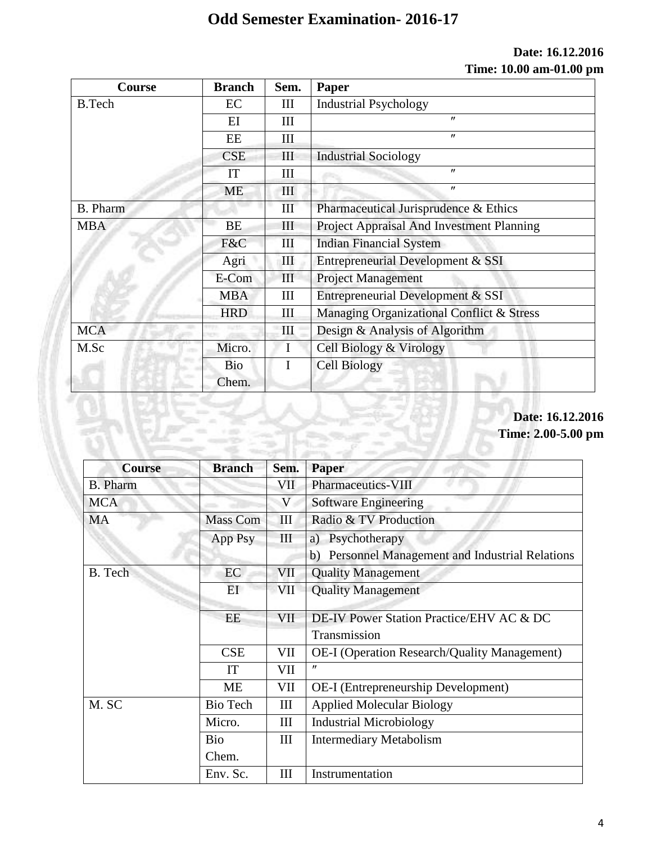## **Date: 16.12.2016 Time: 10.00 am-01.00 pm**

| <b>Course</b> | <b>Branch</b> | Sem.               | Paper                                     |
|---------------|---------------|--------------------|-------------------------------------------|
| <b>B.Tech</b> | EC            | Ш                  | <b>Industrial Psychology</b>              |
|               | $E$ I         | Ш                  | $^{\prime\prime}$                         |
|               | EE            | Ш                  | $^{\prime\prime}$                         |
|               | <b>CSE</b>    | $\mathop{\rm III}$ | <b>Industrial Sociology</b>               |
|               | IT            | Ш                  | $^{\prime\prime}$                         |
|               | <b>ME</b>     | III                | $^{\prime\prime}$                         |
| B. Pharm      |               | III                | Pharmaceutical Jurisprudence & Ethics     |
| <b>MBA</b>    | <b>BE</b>     | Ш                  | Project Appraisal And Investment Planning |
|               | F&C           | Ш                  | <b>Indian Financial System</b>            |
|               | Agri          | III                | Entrepreneurial Development & SSI         |
|               | E-Com         | III                | <b>Project Management</b>                 |
|               | <b>MBA</b>    | III                | Entrepreneurial Development & SSI         |
|               | <b>HRD</b>    | Ш                  | Managing Organizational Conflict & Stress |
| <b>MCA</b>    |               | Ш                  | Design & Analysis of Algorithm            |
| M.Sc          | Micro.        | $\mathbf{I}$       | Cell Biology & Virology                   |
|               | <b>Bio</b>    |                    | <b>Cell Biology</b>                       |
|               | Chem.         |                    |                                           |

# **Date: 16.12.2016**

**Time: 2.00-5.00 pm**

| <b>Course</b>   | <b>Branch</b>   | Sem.       | <b>Paper</b>                                        |
|-----------------|-----------------|------------|-----------------------------------------------------|
| <b>B.</b> Pharm |                 | VII        | <b>Pharmaceutics-VIII</b>                           |
| <b>MCA</b>      |                 | V          | Software Engineering                                |
| <b>MA</b>       | <b>Mass Com</b> | III        | Radio & TV Production                               |
|                 | App Psy         | III        | a) Psychotherapy                                    |
|                 |                 |            | b) Personnel Management and Industrial Relations    |
| B. Tech         | EC.             | VII        | <b>Quality Management</b>                           |
|                 | EI              | <b>VII</b> | <b>Quality Management</b>                           |
|                 | <b>EE</b>       | <b>VII</b> | DE-IV Power Station Practice/EHV AC & DC            |
|                 |                 |            | Transmission                                        |
|                 | <b>CSE</b>      | VII        | <b>OE-I</b> (Operation Research/Quality Management) |
|                 | IT              | VII        | $^{\prime\prime}$                                   |
|                 | <b>ME</b>       | VII        | <b>OE-I</b> (Entrepreneurship Development)          |
| M. SC           | Bio Tech        | Ш          | <b>Applied Molecular Biology</b>                    |
|                 | Micro.          | III        | <b>Industrial Microbiology</b>                      |
|                 | Bio             | III        | <b>Intermediary Metabolism</b>                      |
|                 | Chem.           |            |                                                     |
|                 | Env. Sc.        | Ш          | Instrumentation                                     |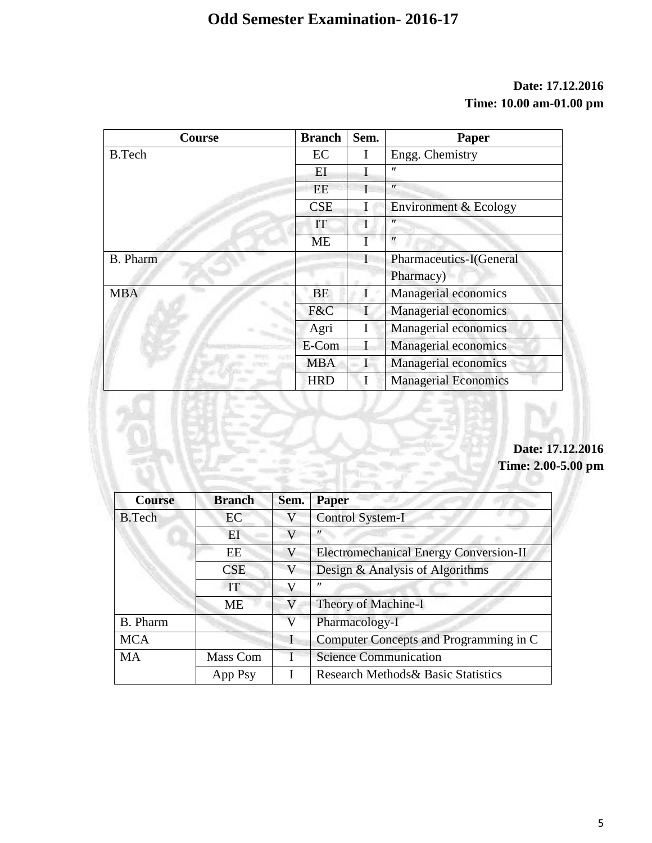## **Date: 17.12.2016 Time: 10.00 am-01.00 pm**

| Course          | <b>Branch</b> | Sem.         | Paper                       |
|-----------------|---------------|--------------|-----------------------------|
| <b>B.Tech</b>   | EC            | I            | Engg. Chemistry             |
|                 | ΕI            |              | "                           |
|                 | EE            |              | $^{\prime\prime}$           |
|                 | <b>CSE</b>    | I            | Environment & Ecology       |
|                 | IT            |              | $^{\prime\prime}$           |
|                 | <b>ME</b>     |              | $^{\prime\prime}$           |
| <b>B.</b> Pharm |               | $\mathbf{I}$ | Pharmaceutics-I(General     |
|                 |               |              | Pharmacy)                   |
| <b>MBA</b>      | <b>BE</b>     |              | Managerial economics        |
|                 | F&C           |              | Managerial economics        |
|                 | Agri          | I            | Managerial economics        |
|                 | E-Com         |              | Managerial economics        |
|                 | <b>MBA</b>    |              | Managerial economics        |
|                 | <b>HRD</b>    | I            | <b>Managerial Economics</b> |

**Date: 17.12.2016 Time: 2.00-5.00 pm**

| <b>Course</b>   | <b>Branch</b> | Sem. | <b>Paper</b>                                   |
|-----------------|---------------|------|------------------------------------------------|
| <b>B.Tech</b>   | EC            | V    | Control System-I                               |
|                 | EI            | V    |                                                |
|                 | EE            | V    | <b>Electromechanical Energy Conversion-II</b>  |
|                 | CSE           | V    | Design & Analysis of Algorithms                |
|                 | IT            | V    | ″                                              |
|                 | <b>ME</b>     | V    | Theory of Machine-I                            |
| <b>B.</b> Pharm |               | V    | Pharmacology-I                                 |
| <b>MCA</b>      |               |      | Computer Concepts and Programming in C         |
| <b>MA</b>       | Mass Com      | Τ    | <b>Science Communication</b>                   |
|                 | App Psy       |      | <b>Research Methods &amp; Basic Statistics</b> |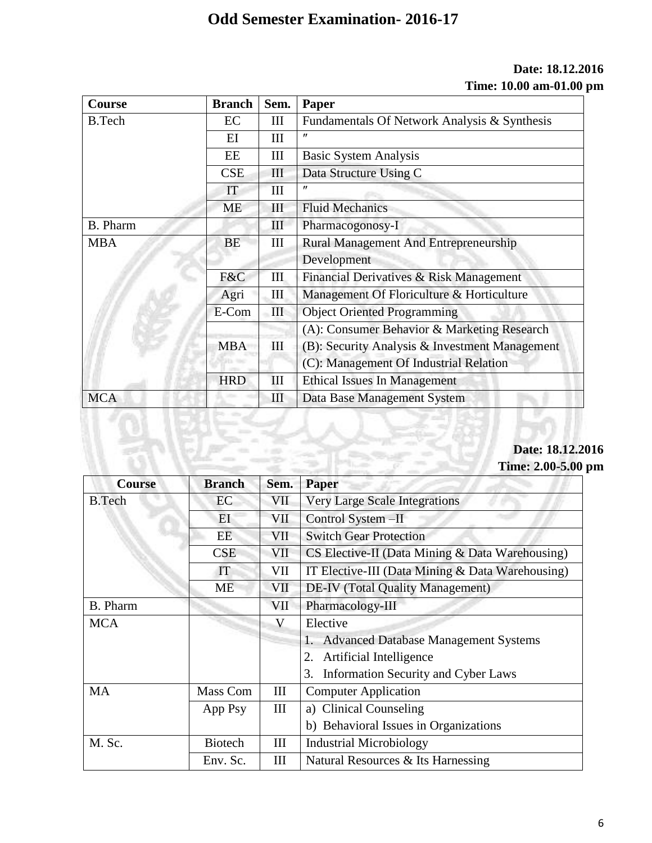## **Date: 18.12.2016 Time: 10.00 am-01.00 pm**

| Course        | <b>Branch</b> | Sem.               | Paper                                          |
|---------------|---------------|--------------------|------------------------------------------------|
| <b>B.Tech</b> | EC            | Ш                  | Fundamentals Of Network Analysis & Synthesis   |
|               | EI            | Ш                  | ″                                              |
|               | EE            | Ш                  | <b>Basic System Analysis</b>                   |
|               | CSE           | Ш                  | Data Structure Using C                         |
|               | IT            | Ш                  | $^{\prime\prime}$                              |
|               | <b>ME</b>     | Ш                  | <b>Fluid Mechanics</b>                         |
| B. Pharm      |               | Ш                  | Pharmacogonosy-I                               |
| <b>MBA</b>    | <b>BE</b>     | III                | <b>Rural Management And Entrepreneurship</b>   |
|               |               |                    | Development                                    |
|               | F&C           | III                | Financial Derivatives & Risk Management        |
|               | Agri          | Ш                  | Management Of Floriculture & Horticulture      |
|               | E-Com         | $\mathop{\rm III}$ | <b>Object Oriented Programming</b>             |
|               |               |                    | (A): Consumer Behavior & Marketing Research    |
|               | <b>MBA</b>    | Ш                  | (B): Security Analysis & Investment Management |
|               |               |                    | (C): Management Of Industrial Relation         |
|               | <b>HRD</b>    | III                | <b>Ethical Issues In Management</b>            |
| <b>MCA</b>    |               | Ш                  | Data Base Management System                    |

## **Date: 18.12.2016 Time: 2.00-5.00 pm**

| <b>Course</b>   | <b>Branch</b>  | Sem.       | Paper                                            |
|-----------------|----------------|------------|--------------------------------------------------|
| <b>B.Tech</b>   | EC             | VII        | <b>Very Large Scale Integrations</b>             |
|                 | EI             | VII        | Control System - II                              |
|                 | EE             | VII        | <b>Switch Gear Protection</b>                    |
|                 | <b>CSE</b>     | VII        | CS Elective-II (Data Mining & Data Warehousing)  |
|                 | IT             | VII        | IT Elective-III (Data Mining & Data Warehousing) |
|                 | ME             | <b>VII</b> | <b>DE-IV</b> (Total Quality Management)          |
| <b>B.</b> Pharm |                | VII        | Pharmacology-III                                 |
| <b>MCA</b>      |                | V          | Elective                                         |
|                 |                |            | <b>Advanced Database Management Systems</b>      |
|                 |                |            | Artificial Intelligence                          |
|                 |                |            | Information Security and Cyber Laws<br>3.        |
| <b>MA</b>       | Mass Com       | III        | <b>Computer Application</b>                      |
|                 | App Psy        | III        | a) Clinical Counseling                           |
|                 |                |            | b) Behavioral Issues in Organizations            |
| M. Sc.          | <b>Biotech</b> | Ш          | <b>Industrial Microbiology</b>                   |
|                 | Env. Sc.       | Ш          | Natural Resources & Its Harnessing               |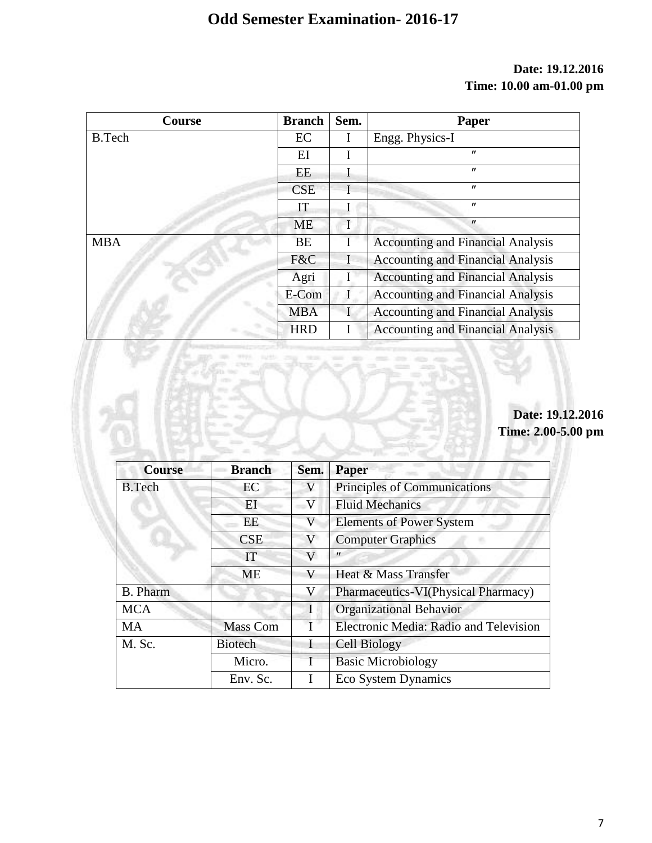## **Date: 19.12.2016 Time: 10.00 am-01.00 pm**

| Course        | <b>Branch</b> | Sem. | Paper                                    |
|---------------|---------------|------|------------------------------------------|
| <b>B.Tech</b> | EC            | I    | Engg. Physics-I                          |
|               | EI            | I    | $^{\prime\prime}$                        |
|               | EE            | I    | $^{\prime\prime}$                        |
|               | <b>CSE</b>    | T    | $^{\prime\prime}$                        |
|               | IT            |      | $^{\prime\prime}$                        |
|               | <b>ME</b>     | I    | $^{\prime\prime}$                        |
| <b>MBA</b>    | <b>BE</b>     | T    | <b>Accounting and Financial Analysis</b> |
|               | F&C           | I    | <b>Accounting and Financial Analysis</b> |
|               | Agri          |      | <b>Accounting and Financial Analysis</b> |
|               | E-Com         |      | <b>Accounting and Financial Analysis</b> |
|               | <b>MBA</b>    |      | <b>Accounting and Financial Analysis</b> |
|               | <b>HRD</b>    |      | <b>Accounting and Financial Analysis</b> |

# **Date: 19.12.2016 Time: 2.00-5.00 pm**

| <b>Course</b>   | <b>Branch</b>   | Sem.         | <b>Paper</b>                           |
|-----------------|-----------------|--------------|----------------------------------------|
| <b>B.Tech</b>   | EC              |              | Principles of Communications           |
|                 | ЕI              | V            | <b>Fluid Mechanics</b>                 |
|                 | EE              | V            | <b>Elements of Power System</b>        |
|                 | <b>CSE</b>      | V            | <b>Computer Graphics</b>               |
|                 | IT              | V            | $^{\prime\prime}$                      |
|                 | <b>ME</b>       | V            | Heat & Mass Transfer                   |
| <b>B.</b> Pharm |                 | V            | Pharmaceutics-VI(Physical Pharmacy)    |
| <b>MCA</b>      |                 | $\mathbf{I}$ | <b>Organizational Behavior</b>         |
| <b>MA</b>       | <b>Mass Com</b> |              | Electronic Media: Radio and Television |
| M. Sc.          | <b>Biotech</b>  |              | <b>Cell Biology</b>                    |
|                 | Micro.          |              | <b>Basic Microbiology</b>              |
|                 | Env. Sc.        |              | Eco System Dynamics                    |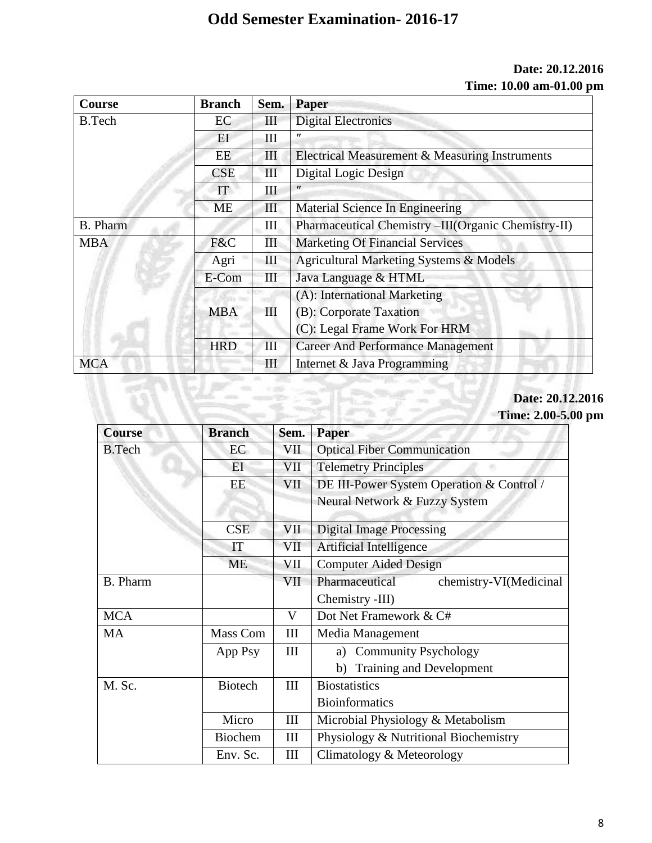#### **Date: 20.12.2016 Time: 10.00 am-01.00 pm**

| <b>Course</b>   | <b>Branch</b> | Sem.               | Paper                                              |
|-----------------|---------------|--------------------|----------------------------------------------------|
| <b>B.Tech</b>   | EC            | Ш                  | <b>Digital Electronics</b>                         |
|                 | ΕI            | Ш                  | $^{\prime\prime}$                                  |
|                 | EE.           | III                | Electrical Measurement & Measuring Instruments     |
|                 | CSE           | III                | Digital Logic Design                               |
|                 | <b>IT</b>     | Ш                  | $^{\prime\prime}$                                  |
|                 | ME            | Ш                  | Material Science In Engineering                    |
| <b>B.</b> Pharm |               | Ш                  | Pharmaceutical Chemistry-III(Organic Chemistry-II) |
| <b>MBA</b>      | F&C           | III                | <b>Marketing Of Financial Services</b>             |
|                 | Agri          | Ш                  | Agricultural Marketing Systems & Models            |
|                 | E-Com         | $\mathop{\rm III}$ | Java Language & HTML                               |
|                 |               |                    | (A): International Marketing                       |
|                 | <b>MBA</b>    | Ш                  | (B): Corporate Taxation                            |
|                 |               |                    | (C): Legal Frame Work For HRM                      |
|                 | <b>HRD</b>    | III                | <b>Career And Performance Management</b>           |
| <b>MCA</b>      |               | Ш                  | Internet & Java Programming                        |

#### **Date: 20.12.2016 Time: 2.00-5.00 pm**

| <b>Course</b>   | <b>Branch</b>  | Sem. | <b>Paper</b>                              |
|-----------------|----------------|------|-------------------------------------------|
| <b>B.Tech</b>   | EC             | VII  | <b>Optical Fiber Communication</b>        |
|                 | EI             | VII  | <b>Telemetry Principles</b>               |
|                 | EE             | VII  | DE III-Power System Operation & Control / |
|                 |                |      | Neural Network & Fuzzy System             |
|                 | <b>CSE</b>     | VII  | <b>Digital Image Processing</b>           |
|                 | IT             | VII  | Artificial Intelligence                   |
|                 | <b>ME</b>      | VII  | <b>Computer Aided Design</b>              |
| <b>B.</b> Pharm |                | VII  | Pharmaceutical<br>chemistry-VI(Medicinal  |
|                 |                |      | Chemistry -III)                           |
| <b>MCA</b>      |                | V    | Dot Net Framework & C#                    |
| <b>MA</b>       | Mass Com       | Ш    | Media Management                          |
|                 | App Psy        | III  | <b>Community Psychology</b><br>a)         |
|                 |                |      | Training and Development<br>b)            |
| M. Sc.          | <b>Biotech</b> | III  | <b>Biostatistics</b>                      |
|                 |                |      | <b>Bioinformatics</b>                     |
|                 | Micro          | III  | Microbial Physiology & Metabolism         |
|                 | <b>Biochem</b> | III  | Physiology & Nutritional Biochemistry     |
|                 | Env. Sc.       | Ш    | Climatology & Meteorology                 |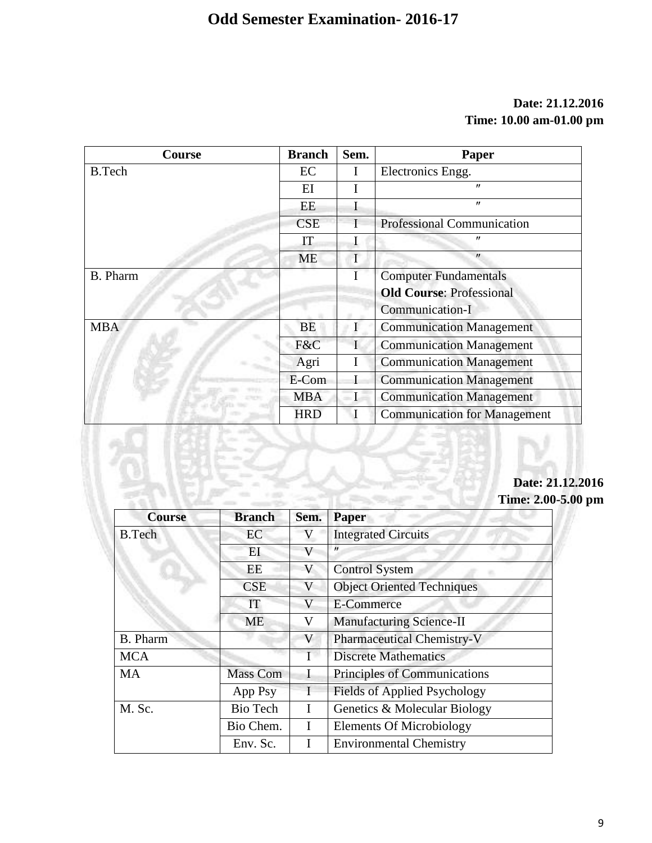## **Date: 21.12.2016 Time: 10.00 am-01.00 pm**

| <b>Course</b> | <b>Branch</b> | Sem. | Paper                               |
|---------------|---------------|------|-------------------------------------|
| <b>B.Tech</b> | EC            |      | Electronics Engg.                   |
|               | EI            |      | $^{\prime\prime}$                   |
|               | EE            | I    | $^{\prime\prime}$                   |
|               | <b>CSE</b>    |      | <b>Professional Communication</b>   |
|               | IT            |      | $^{\prime\prime}$                   |
|               | <b>ME</b>     |      | $^{\prime\prime}$                   |
| B. Pharm      |               |      | <b>Computer Fundamentals</b>        |
|               |               |      | <b>Old Course: Professional</b>     |
|               |               |      | Communication-I                     |
| <b>MBA</b>    | <b>BE</b>     |      | <b>Communication Management</b>     |
|               | F&C           |      | <b>Communication Management</b>     |
|               | Agri          |      | <b>Communication Management</b>     |
|               | E-Com         |      | <b>Communication Management</b>     |
|               | <b>MBA</b>    |      | <b>Communication Management</b>     |
|               | <b>HRD</b>    |      | <b>Communication for Management</b> |

## **Date: 21.12.2016 Time: 2.00-5.00 pm**

| <b>Course</b>   | <b>Branch</b>   | Sem. | <b>Paper</b>                        |
|-----------------|-----------------|------|-------------------------------------|
| <b>B.Tech</b>   | EC              |      | <b>Integrated Circuits</b>          |
|                 | EI              | V    | $^{\prime\prime}$                   |
|                 | EE              | V    | <b>Control System</b>               |
|                 | <b>CSE</b>      | V    | <b>Object Oriented Techniques</b>   |
|                 | IT              | V    | E-Commerce                          |
|                 | <b>ME</b>       | V    | <b>Manufacturing Science-II</b>     |
| <b>B.</b> Pharm |                 | V    | <b>Pharmaceutical Chemistry-V</b>   |
| <b>MCA</b>      |                 |      | <b>Discrete Mathematics</b>         |
| <b>MA</b>       | <b>Mass Com</b> | I    | Principles of Communications        |
|                 | App Psy         |      | <b>Fields of Applied Psychology</b> |
| M. Sc.          | <b>Bio Tech</b> | T    | Genetics & Molecular Biology        |
|                 | Bio Chem.       | I    | <b>Elements Of Microbiology</b>     |
|                 | Env. Sc.        |      | <b>Environmental Chemistry</b>      |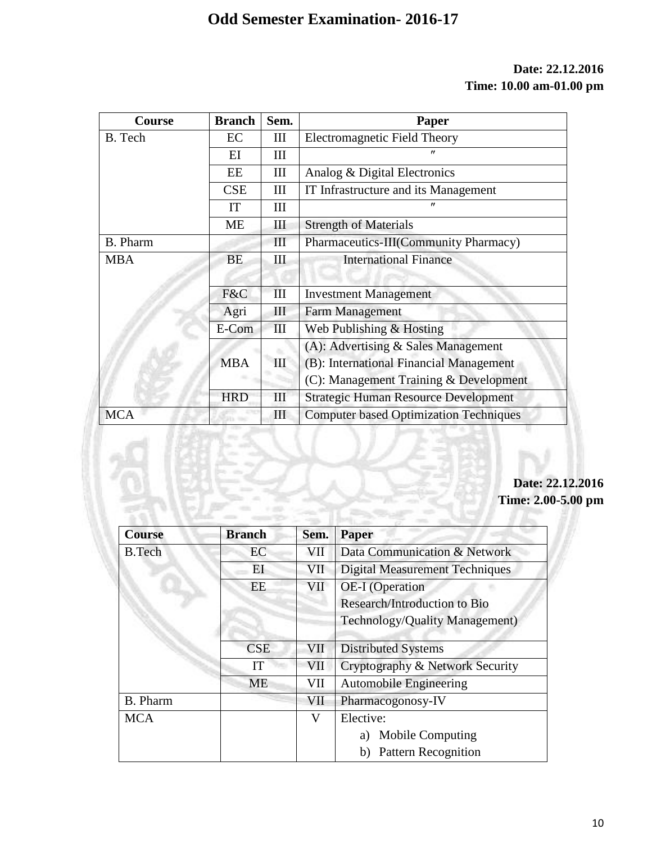## **Date: 22.12.2016 Time: 10.00 am-01.00 pm**

| Course          | <b>Branch</b> | Sem. | Paper                                         |
|-----------------|---------------|------|-----------------------------------------------|
| B. Tech         | EC            | Ш    | <b>Electromagnetic Field Theory</b>           |
|                 | EI            | III  |                                               |
|                 | EE            | Ш    | Analog & Digital Electronics                  |
|                 | <b>CSE</b>    | III  | IT Infrastructure and its Management          |
|                 | IT            | III  | $^{\prime\prime}$                             |
|                 | <b>ME</b>     | Ш    | <b>Strength of Materials</b>                  |
| <b>B.</b> Pharm |               | Ш    | Pharmaceutics-III(Community Pharmacy)         |
| <b>MBA</b>      | <b>BE</b>     | Ш    | <b>International Finance</b>                  |
|                 |               |      |                                               |
|                 | F&C           | III  | <b>Investment Management</b>                  |
|                 | Agri          | Ш    | <b>Farm Management</b>                        |
|                 | E-Com         | III  | Web Publishing & Hosting                      |
|                 |               |      | (A): Advertising $&$ Sales Management         |
|                 | <b>MBA</b>    | III  | (B): International Financial Management       |
|                 |               |      | (C): Management Training & Development        |
|                 | <b>HRD</b>    | III  | <b>Strategic Human Resource Development</b>   |
| <b>MCA</b>      |               | Ш    | <b>Computer based Optimization Techniques</b> |

**Date: 22.12.2016 Time: 2.00-5.00 pm**

| <b>Course</b>   | <b>Branch</b> | Sem. | <b>Paper</b>                          |
|-----------------|---------------|------|---------------------------------------|
| <b>B.Tech</b>   | EC            | VII  | Data Communication & Network          |
|                 | EI            | VII  | <b>Digital Measurement Techniques</b> |
|                 | EE            | VII  | <b>OE-I</b> (Operation                |
|                 |               |      | Research/Introduction to Bio          |
|                 |               |      | <b>Technology/Quality Management)</b> |
|                 | <b>CSE</b>    | VII  | <b>Distributed Systems</b>            |
|                 | IT            | VII  | Cryptography & Network Security       |
|                 | <b>ME</b>     | VII  | <b>Automobile Engineering</b>         |
| <b>B.</b> Pharm |               | VII  | Pharmacogonosy-IV                     |
| <b>MCA</b>      |               | V    | Elective:                             |
|                 |               |      | Mobile Computing<br>a)                |
|                 |               |      | <b>Pattern Recognition</b>            |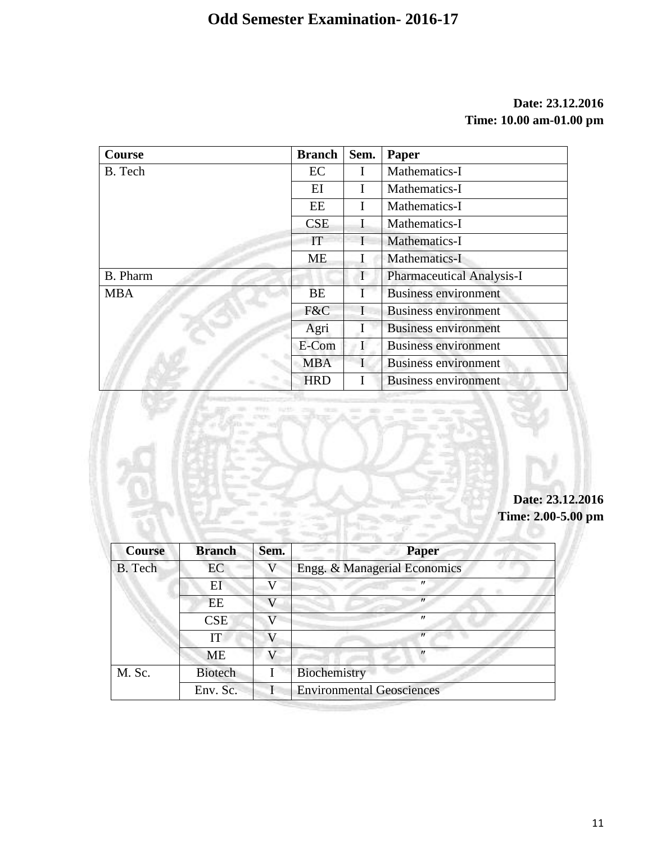## **Date: 23.12.2016 Time: 10.00 am-01.00 pm**

| Course          | <b>Branch</b> | Sem.         | Paper                            |
|-----------------|---------------|--------------|----------------------------------|
| B. Tech         | EC            | $\mathbf{I}$ | Mathematics-I                    |
|                 | EI            |              | Mathematics-I                    |
|                 | EE            |              | Mathematics-I                    |
|                 | <b>CSE</b>    |              | Mathematics-I                    |
|                 | IT            |              | Mathematics-I                    |
|                 | <b>ME</b>     |              | Mathematics-I                    |
| <b>B.</b> Pharm |               | $\mathbf I$  | <b>Pharmaceutical Analysis-I</b> |
| <b>MBA</b>      | BE            |              | <b>Business environment</b>      |
|                 | F&C           |              | <b>Business environment</b>      |
|                 | Agri          |              | <b>Business environment</b>      |
|                 | E-Com         | н            | <b>Business environment</b>      |
|                 | <b>MBA</b>    |              | <b>Business environment</b>      |
|                 | <b>HRD</b>    |              | <b>Business environment</b>      |

**Date: 23.12.2016 Time: 2.00-5.00 pm**

| <b>Course</b> | <b>Branch</b>  | Sem. | <b>Paper</b>                     |
|---------------|----------------|------|----------------------------------|
| B. Tech       | EC             |      | Engg. & Managerial Economics     |
|               | E <sub>I</sub> |      | "                                |
|               | EE             | G 7  | $^{\prime\prime}$                |
|               | CSE            |      | $^{\prime\prime}$                |
|               | IT             |      | $^{\prime\prime}$                |
|               | ME             |      | $^{\prime\prime}$                |
| M. Sc.        | <b>Biotech</b> |      | Biochemistry                     |
|               | Env. Sc.       |      | <b>Environmental Geosciences</b> |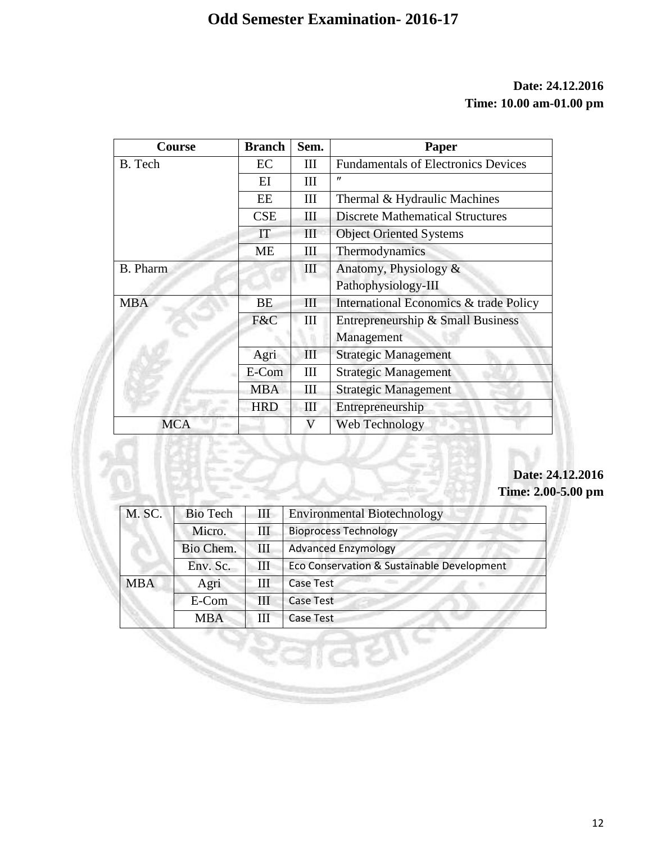## **Date: 24.12.2016 Time: 10.00 am-01.00 pm**

| Course          | <b>Branch</b> | Sem. | Paper                                      |
|-----------------|---------------|------|--------------------------------------------|
| B. Tech         | EC            | Ш    | <b>Fundamentals of Electronics Devices</b> |
|                 | EI            | Ш    | $^{\prime\prime}$                          |
|                 | EE            | III  | Thermal & Hydraulic Machines               |
|                 | <b>CSE</b>    | Ш    | <b>Discrete Mathematical Structures</b>    |
|                 | IT            | III  | <b>Object Oriented Systems</b>             |
|                 | <b>ME</b>     | Ш    | Thermodynamics                             |
| <b>B.</b> Pharm |               | III  | Anatomy, Physiology &                      |
|                 |               |      | Pathophysiology-III                        |
| <b>MBA</b>      | <b>BE</b>     | III  | International Economics & trade Policy     |
|                 | F&C           | III  | Entrepreneurship & Small Business          |
|                 |               |      | Management                                 |
|                 | Agri          | III  | <b>Strategic Management</b>                |
|                 | E-Com         | III  | <b>Strategic Management</b>                |
|                 | <b>MBA</b>    | Ш    | <b>Strategic Management</b>                |
|                 | <b>HRD</b>    | III  | Entrepreneurship                           |
| <b>MCA</b>      |               | V    | Web Technology                             |

## **Date: 24.12.2016 Time: 2.00-5.00 pm**

| M. SC.     | <b>Bio Tech</b> | III | <b>Environmental Biotechnology</b>         |
|------------|-----------------|-----|--------------------------------------------|
|            | Micro.          | Ш   | <b>Bioprocess Technology</b>               |
|            | Bio Chem.       | Ш   | <b>Advanced Enzymology</b>                 |
|            | Env. Sc.        |     | Eco Conservation & Sustainable Development |
| <b>MBA</b> | Agri            | Ш   | <b>Case Test</b>                           |
|            | E-Com           | Ш   | <b>Case Test</b>                           |
|            | <b>MBA</b>      |     | <b>Case Test</b>                           |

 $3072$